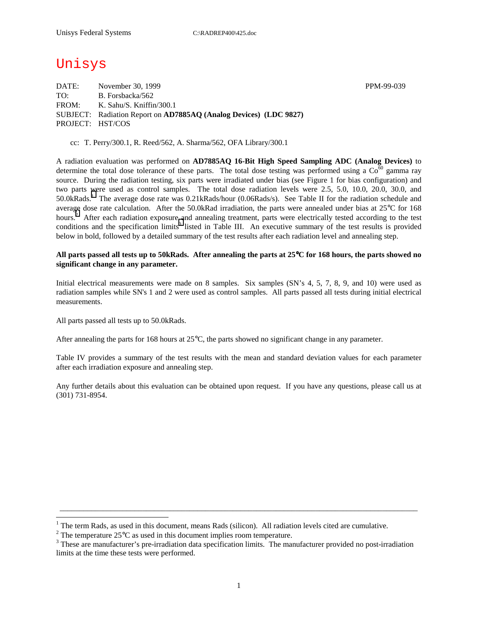# Unisys

DATE: November 30, 1999 November 30, 1999 TO: B. Forsbacka/562 FROM: K. Sahu/S. Kniffin/300.1 SUBJECT: Radiation Report on **AD7885AQ (Analog Devices) (LDC 9827)** PROJECT: HST/COS

cc: T. Perry/300.1, R. Reed/562, A. Sharma/562, OFA Library/300.1

A radiation evaluation was performed on **AD7885AQ 16-Bit High Speed Sampling ADC (Analog Devices)** to determine the total dose tolerance of these parts. The total dose testing was performed using a  $\text{Co}^{60}$  gamma ray source. During the radiation testing, six parts were irradiated under bias (see Figure 1 for bias configuration) and two parts were used as control samples. The total dose radiation levels were 2.5, 5.0, 10.0, 20.0, 30.0, and 50.0kRads.<sup>1</sup> The average dose rate was 0.21kRads/hour (0.06Rads/s). See Table II for the radiation schedule and average dose rate calculation. After the 50.0kRad irradiation, the parts were annealed under bias at 25°C for 168 hours.<sup>2</sup> After each radiation exposure and annealing treatment, parts were electrically tested according to the test conditions and the specification limits<sup>3</sup> listed in Table III. An executive summary of the test results is provided below in bold, followed by a detailed summary of the test results after each radiation level and annealing step.

### **All parts passed all tests up to 50kRads. After annealing the parts at 25**°**C for 168 hours, the parts showed no significant change in any parameter.**

Initial electrical measurements were made on 8 samples. Six samples (SN's 4, 5, 7, 8, 9, and 10) were used as radiation samples while SN's 1 and 2 were used as control samples. All parts passed all tests during initial electrical measurements.

All parts passed all tests up to 50.0kRads.

 $\overline{a}$ 

After annealing the parts for 168 hours at 25°C, the parts showed no significant change in any parameter.

Table IV provides a summary of the test results with the mean and standard deviation values for each parameter after each irradiation exposure and annealing step.

Any further details about this evaluation can be obtained upon request. If you have any questions, please call us at (301) 731-8954.

\_\_\_\_\_\_\_\_\_\_\_\_\_\_\_\_\_\_\_\_\_\_\_\_\_\_\_\_\_\_\_\_\_\_\_\_\_\_\_\_\_\_\_\_\_\_\_\_\_\_\_\_\_\_\_\_\_\_\_\_\_\_\_\_\_\_\_\_\_\_\_\_\_\_\_\_\_\_\_\_\_\_\_\_\_\_\_\_\_\_\_

<sup>&</sup>lt;sup>1</sup> The term Rads, as used in this document, means Rads (silicon). All radiation levels cited are cumulative.

<sup>&</sup>lt;sup>2</sup> The temperature 25 $^{\circ}$ C as used in this document implies room temperature.  $^3$  These are manufacturer's are irrediction date apositionism limits. The manufacturer's

<sup>&</sup>lt;sup>3</sup> These are manufacturer's pre-irradiation data specification limits. The manufacturer provided no post-irradiation limits at the time these tests were performed.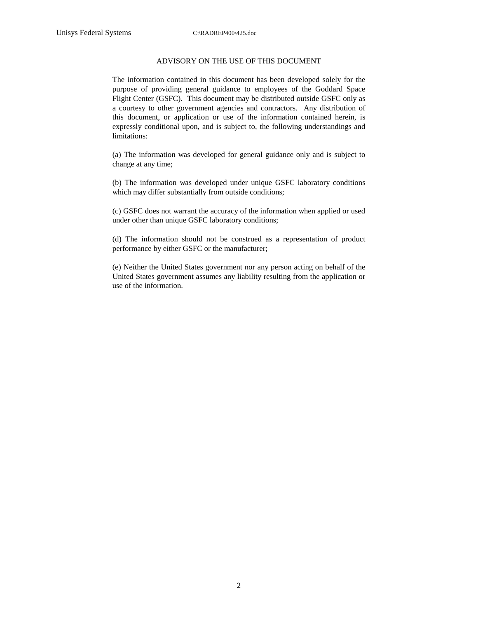#### ADVISORY ON THE USE OF THIS DOCUMENT

The information contained in this document has been developed solely for the purpose of providing general guidance to employees of the Goddard Space Flight Center (GSFC). This document may be distributed outside GSFC only as a courtesy to other government agencies and contractors. Any distribution of this document, or application or use of the information contained herein, is expressly conditional upon, and is subject to, the following understandings and limitations:

(a) The information was developed for general guidance only and is subject to change at any time;

(b) The information was developed under unique GSFC laboratory conditions which may differ substantially from outside conditions;

(c) GSFC does not warrant the accuracy of the information when applied or used under other than unique GSFC laboratory conditions;

(d) The information should not be construed as a representation of product performance by either GSFC or the manufacturer;

(e) Neither the United States government nor any person acting on behalf of the United States government assumes any liability resulting from the application or use of the information.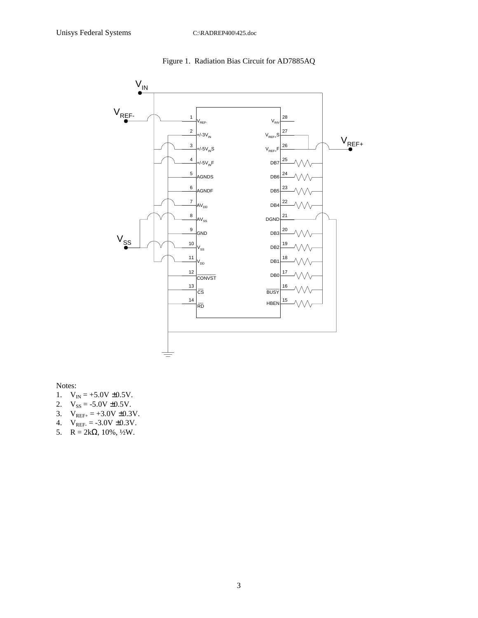

Figure 1. Radiation Bias Circuit for AD7885AQ

Notes:

- 1.  $V_{IN} = +5.0V \pm 0.5V$ .
- 2.  $V_{SS} = -5.0V \pm 0.5V$ .
- 3.  $V_{REF+} = +3.0V \pm 0.3V$ .
- 4.  $V_{REF} = -3.0V \pm 0.3V$ .
- 5.  $R = 2k\Omega$ , 10%, ½W.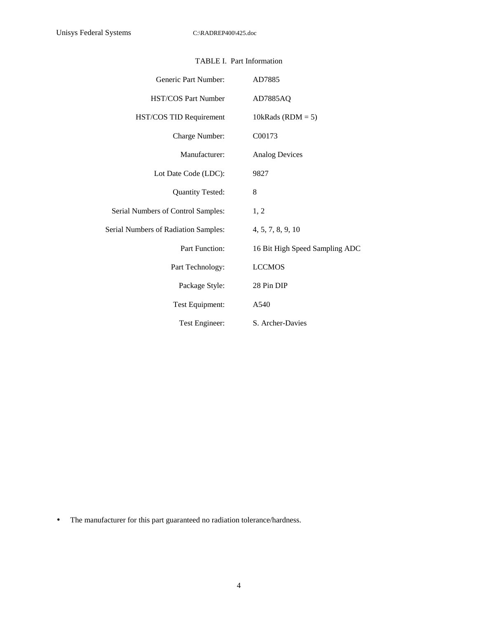| Generic Part Number:                 | AD7885                         |
|--------------------------------------|--------------------------------|
| <b>HST/COS Part Number</b>           | AD7885AQ                       |
| HST/COS TID Requirement              | 10kRads (RDM = $5$ )           |
| Charge Number:                       | C00173                         |
| Manufacturer:                        | <b>Analog Devices</b>          |
| Lot Date Code (LDC):                 | 9827                           |
| Quantity Tested:                     | 8                              |
| Serial Numbers of Control Samples:   | 1, 2                           |
| Serial Numbers of Radiation Samples: | 4, 5, 7, 8, 9, 10              |
| <b>Part Function:</b>                | 16 Bit High Speed Sampling ADC |
| Part Technology:                     | <b>LCCMOS</b>                  |
| Package Style:                       | 28 Pin DIP                     |
| Test Equipment:                      | A540                           |
| Test Engineer:                       | S. Archer-Davies               |

### TABLE I. Part Information

• The manufacturer for this part guaranteed no radiation tolerance/hardness.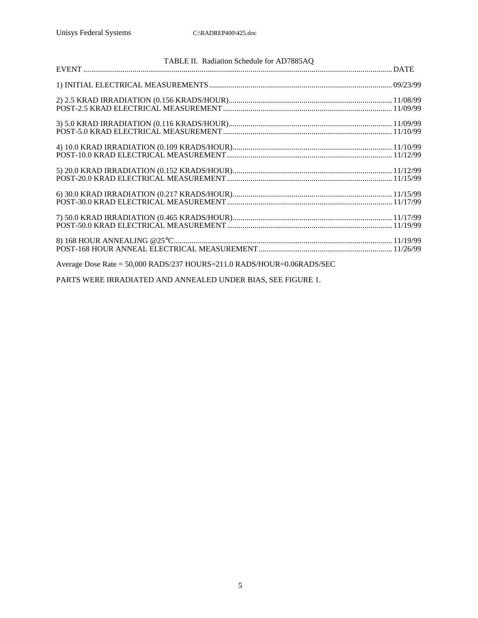| Average Dose Rate = 50,000 RADS/237 HOURS=211.0 RADS/HOUR=0.06RADS/SEC |  |
|------------------------------------------------------------------------|--|

PARTS WERE IRRADIATED AND ANNEALED UNDER BIAS, SEE FIGURE 1.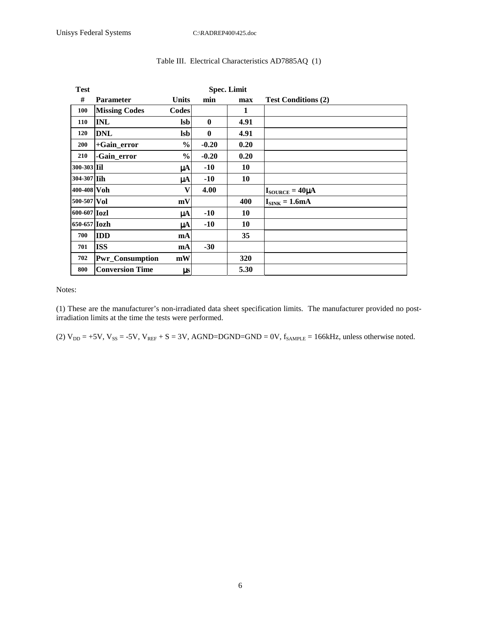| <b>Test</b>         |                        |               | <b>Spec. Limit</b> |            |                                   |
|---------------------|------------------------|---------------|--------------------|------------|-----------------------------------|
| #                   | <b>Parameter</b>       | <b>Units</b>  | min                | max        | <b>Test Conditions (2)</b>        |
| 100                 | <b>Missing Codes</b>   | <b>Codes</b>  |                    | 1          |                                   |
| 110                 | <b>INL</b>             | <b>Isb</b>    | $\bf{0}$           | 4.91       |                                   |
| 120                 | <b>DNL</b>             | <b>lsb</b>    | $\mathbf{0}$       | 4.91       |                                   |
| 200                 | +Gain_error            | $\frac{0}{0}$ | $-0.20$            | 0.20       |                                   |
| 210                 | -Gain_error            | $\frac{6}{9}$ | $-0.20$            | 0.20       |                                   |
| 300-303 Iil         |                        | $\mu A$       | $-10$              | 10         |                                   |
| 304-307 Iih         |                        | μA            | $-10$              | 10         |                                   |
| 400-408 Voh         |                        | V             | 4.00               |            | $I_{\text{SOURCE}} = 40 \mu A$    |
| 500-507 Vol         |                        | mV            |                    | 400        | $I_{\text{SINK}} = 1.6 \text{mA}$ |
| 600-607 <b>Iozl</b> |                        | μA            | $-10$              | 10         |                                   |
| 650-657 <b>Iozh</b> |                        | μA            | $-10$              | 10         |                                   |
| 700                 | <b>IDD</b>             | mA            |                    | 35         |                                   |
| 701                 | <b>ISS</b>             | mA            | $-30$              |            |                                   |
| 702                 | <b>Pwr_Consumption</b> | mW            |                    | <b>320</b> |                                   |
| 800                 | <b>Conversion Time</b> | $\mu s$       |                    | 5.30       |                                   |

## Table III. Electrical Characteristics AD7885AQ (1)

Notes:

(1) These are the manufacturer's non-irradiated data sheet specification limits. The manufacturer provided no postirradiation limits at the time the tests were performed.

(2)  $V_{DD} = +5V$ ,  $V_{SS} = -5V$ ,  $V_{REF} + S = 3V$ , AGND=DGND=GND = 0V,  $f_{SAMPLE} = 166kHz$ , unless otherwise noted.